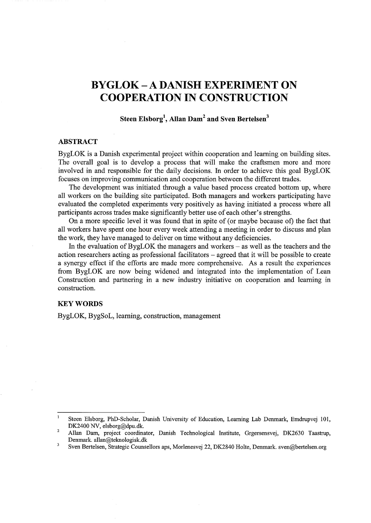# **BYGLOK- A DANISH EXPERIMENT ON COOPERATION IN CONSTRUCTION**

# **Steen Elsborg<sup>1</sup> , Allan Dam2 and Sven Bertelsen3**

# **ABSTRACT**

BygLOK is a Danish experimental project within cooperation and learning on building sites. The overall goal is to develop a process that will make the craftsmen more and more involved in and responsible for the daily decisions. In order to achieve this goal BygLOK focuses on improving communication and cooperation between the different trades.

The development was initiated through a value based process created bottom up, where all workers on the building site participated. Both managers and workers participating have evaluated the completed experiments very positively as having initiated a process where all participants across trades make significantly better use of each other's strengths.

On a more specific level it was found that in spite of (or maybe because of) the fact that all workers have spent one hour every week attending a meeting in order to discuss and plan the work, they have managed to deliver on time without any deficiencies.

In the evaluation of BygLOK the managers and workers  $-$  as well as the teachers and the action researchers acting as professional facilitators - agreed that it will be possible to create a synergy effect if the efforts are made more comprehensive. As a result the experiences from BygLOK are now being widened and integrated into the implementation of Lean Construction and partnering in a new industry initiative on cooperation and learning in construction.

## **KEYWORDS**

BygLOK, BygSoL, learning, construction, management

Steen Elsborg, PhD-Scholar, Danish University of Education, Learning Lab Denmark, Emdrupvej 101, DK2400 NV, elsborg@dpu.dk.

<sup>2</sup>  Allan Dam, project coordinator, Danish Technological Institute, Grgersensvej, DK2630 Taastrup, Denmark. allan@teknologisk.dk

<sup>3</sup> Sven Bertelsen, Strategic Counsellors aps, Morlenesvej 22, DK2840 Holte, Denmark. sven@bertelsen.org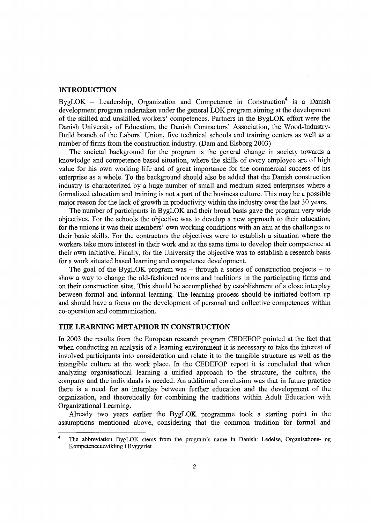## **INTRODUCTION**

BygLOK - Leadership, Organization and Competence in Construction<sup>4</sup> is a Danish development program undertaken under the general LOK program aiming at the development of the skilled and unskilled workers' competences. Partners in the BygLOK effort were the Danish University of Education, the Danish Contractors' Association, the Wood-Industry-Build branch of the Labors' Union, five technical schools and training centers as well as a number of firms from the construction industry. (Dam and Elsborg 2003)

The societal background for the program is the general change in society towards a knowledge and competence based situation, where the skills of every employee are of high value for his own working life and of great importance for the commercial success of his enterprise as a whole. To the background should also be added that the Danish construction industry is characterized by a huge number of small and medium sized enterprises where a formalized education and training is not a part of the business culture. This may be a possible major reason for the lack of growth in productivity within the industry over the last 30 years.

The number of participants in BygLOK and their broad basis gave the program very wide objectives. For the schools the objective was to develop a new approach to their education, for the unions it was their members' own working conditions with an aim at the challenges to their basic skills. For the contractors the objectives were to establish a situation where the workers take more interest in their work and at the same time to develop their competence at their own initiative. Finally, for the University the objective was to establish a research basis for a work situated based learning and competence development.

The goal of the BygLOK program was  $-$  through a series of construction projects  $-$  to show a way to change the old-fashioned norms and traditions in the participating firms and on their construction sites. This should be accomplished by establishment of a close interplay between formal and informal learning. The learning process should be initiated bottom up and should have a focus on the development of personal and collective competences within co-operation and communication.

# **THE LEARNING METAPHOR IN CONSTRUCTION**

In 2003 the results from the European research program CEDEFOP pointed at the fact that when conducting an analysis of a learning environment it is necessary to take the interest of involved participants into consideration and relate it to the tangible structure as well as the intangible culture at the work place. In the CEDEFOP report it is concluded that when analyzing organisational learning a unified approach to the structure, the culture, the company and the individuals is needed. An additional conclusion was that in future practice there is a need for an interplay between further education and the development of the organization, and theoretically for combining the traditions within Adult Education with Organizational Learning.

Already two years earlier the BygLOK programme took a starting point in the assumptions mentioned above, considering that the common tradition for formal and

<sup>&</sup>lt;sup>4</sup> The abbreviation BygLOK stems from the program's name in Danish: Ledelse, Organisations- og Kompetenceudvikling i Byggeriet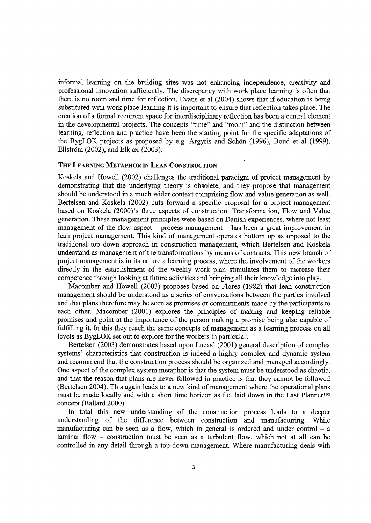informal learning on the building sites was not enhancing independence, creativity and professional innovation sufficiently. The discrepancy with work place learning is often that there is no room and time for reflection. Evans et al (2004) shows that if education is being substituted with work place learning it is important to ensure that reflection takes place. The creation of a formal recurrent space for interdisciplinary reflection has been a central element in the developmental projects. The concepts "time" and "room" and the distinction between learning, reflection and practice have been the starting point for the specific adaptations of the BygLOK projects as proposed by e.g. Argyris and Schon (1996), Boud et al (1999), Ellström  $(2002)$ , and Elkjær  $(2003)$ .

# THE LEARNING METAPHOR IN LEAN CONSTRUCTION

Koskela and Howell (2002) challenges the traditional paradigm of project management by demonstrating that the underlying theory is obsolete, and they propose that management should be understood in a much wider context comprising flow and value generation as well. Bertelsen and Koskela (2002) puts forward a specific proposal for a project management based on Koskela (2000)'s three aspects of construction: Transformation, Flow and Value generation. These management principles were based on Danish experiences, where not least management of the flow aspect  $-$  process management  $-$  has been a great improvement in lean project management. This kind of management operates bottom up as opposed to the traditional top down approach in construction management, which Bertelsen and Koskela understand as management of the transformations by means of contracts. This new branch of project management is in its nature a learning process, where the involvement of the workers directly in the establishment of the weekly work plan stimulates them to increase their competence through looking at future activities and bringing all their knowledge into play.

Macomber and Howell (2003) proposes based on Flores (1982) that lean construction management should be understood as a series of conversations between the parties involved and that plans therefore may be seen as promises or commitments made by the participants to each other. Macomber (2001) explores the principles of making and keeping reliable promises and point at the importance of the person making a promise being also capable of fulfilling it. In this they reach the same concepts of management as a learning process on all levels as BygLOK set out to explore for the workers in particular.

Bertelsen (2003) demonstrates based upon Lucas' (2001) general description of complex systems' characteristics that construction is indeed a highly complex and dynamic system and recommend that the construction process should be organized and managed accordingly. One aspect of the complex system metaphor is that the system must be understood as chaotic, and that the reason that plans are never followed in practice is that they cannot be followed (Bertelsen 2004). This again leads to a new kind of management where the operational plans must be made locally and with a short time horizon as f.e. laid down in the Last Planner™ concept (Ballard 2000).

In total this new understanding of the construction process leads to a deeper understanding of the difference between construction and manufacturing. While manufacturing can be seen as a flow, which in general is ordered and under control  $-$  a laminar flow - construction must be seen as a turbulent flow, which not at all can be controlled in any detail through a top-down management. Where manufacturing deals with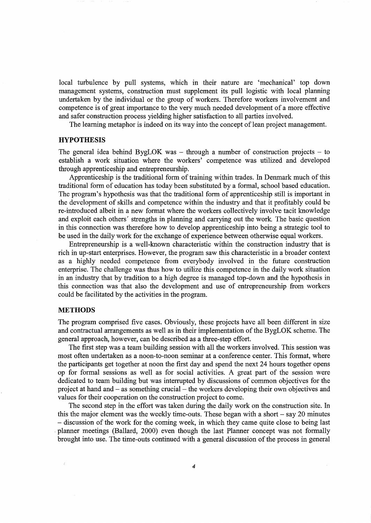local turbulence by pull systems, which in their nature are 'mechanical' top down management systems, construction must supplement its pull logistic with local planning undertaken by the individual or the group of workers. Therefore workers involvement and competence is of great importance to the very much needed development of a more effective and safer construction process yielding higher satisfaction to all parties involved.

The learning metaphor is indeed on its way into the concept of lean project management.

# **HYPOTHESIS**

The general idea behind BygLOK was  $-$  through a number of construction projects  $-$  to establish a work situation where the workers' competence was utilized and developed through apprenticeship and entrepreneurship.

Apprenticeship is the traditional form of training within trades. In Denmark much of this traditional form of education has today been substituted by a formal, school based education. The program's hypothesis was that the traditional form of apprenticeship still is important in the development of skills and competence within the industry and that it profitably could be re-introduced albeit in a new format where the workers collectively involve tacit knowledge and exploit each others' strengths in planning and carrying out the work The basic question in this connection was therefore how to develop apprenticeship into being a strategic tool to be used in the daily work for the exchange of experience between otherwise equal workers.

Entrepreneurship is a well-known characteristic within the construction industry that is rich in up-start enterprises. However, the program saw this characteristic in a broader context as a highly needed competence from everybody involved in the future construction enterprise. The challenge was thus how to utilize this competence in the daily work situation in an industry that by tradition to a high degree is managed top-down and the hypothesis in this connection was that also the development and use of entrepreneurship from workers could be facilitated by the activities in the program.

#### **METHODS**

The program comprised five cases. Obviously, these projects have all been different in size and contractual arrangements as well as in their implementation of the BygLOK scheme. The general approach, however, can be described as a three-step effort.

The first step was a team building session with all the workers involved. This session was most often undertaken as a noon-to-noon seminar at a conference center. This format, where the participants get together at noon the first day and spend the next 24 hours together opens op for formal sessions as well as for social activities. A great part of the session were dedicated to team building but was interrupted by discussions of common objectives for the project at hand and- as something crucial- the workers developing their own objectives and values for their cooperation on the construction project to come.

The second step in the effort was taken during the daily work on the construction site. In this the major element was the weekly time-outs. These began with a short - say 20 minutes - discussion of the work for the coming week, in which they came quite close to being last . planner meetings (Ballard, 2000) even though the last Planner concept was not formally brought into use. The time-outs continued with a general discussion of the process in general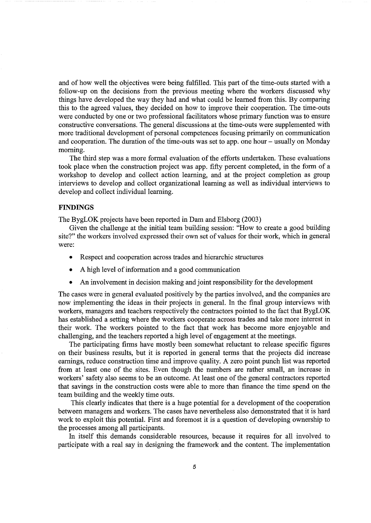and of how well the objectives were being fulfilled. This part of the time-outs started with a follow-up on the decisions from the previous meeting where the workers discussed why things have developed the way they had and what could be learned from this. By comparing this to the agreed values, they decided on how to improve their cooperation. The time-outs were conducted by one or two professional facilitators whose primary function was to ensure constructive conversations. The general discussions at the time-outs were supplemented with more traditional development of personal competences focusing primarily on communication and cooperation. The duration of the time-outs was set to app. one hour – usually on Monday morning.

The third step was a more formal evaluation of the efforts undertaken. These evaluations took place when the construction project was app. fifty percent completed, in the form of a workshop to develop and collect action learning, and at the project completion as group interviews to develop and collect organizational learning as well as individual interviews to develop and collect individual learning.

# **FINDINGS**

The BygLOK projects have been reported in Dam and Elsborg (2003)

Given the challenge at the initial team building session: "How to create a good building site?" the workers involved expressed their own set of values for their work, which in general were:

- Respect and cooperation across trades and hierarchic structures
- A high level of information and a good communication
- An involvement in decision making and joint responsibility for the development

The cases were in general evaluated positively by the parties involved, and the companies are now implementing the ideas in their projects in general. In the final group interviews with workers, managers and teachers respectively the contractors pointed to the fact that BygLOK has established a setting where the workers cooperate across trades and take more interest in their work. The workers pointed to the fact that work has become more enjoyable and challenging, and the teachers reported a high level of engagement at the meetings.

The participating firms have mostly been somewhat reluctant to release specific figures on their business results, but it is reported in general terms that the projects did increase earnings, reduce construction time and improve quality. A zero point punch list was reported from at least one of the sites. Even though the numbers are rather small, an increase in workers' safety also seems to be an outcome. At least one of the general contractors reported that savings in the construction costs were able to more than finance the time spend on the team building and the weekly time outs.

This clearly indicates that there is a huge potential for a development of the cooperation between managers and workers. The cases have nevertheless also demonstrated that it is hard work to exploit this potential. First and foremost it is a question of developing ownership to the processes among all participants.

In itself this demands considerable resources, because it requires for all involved to participate with a real say in designing the framework and the content. The implementation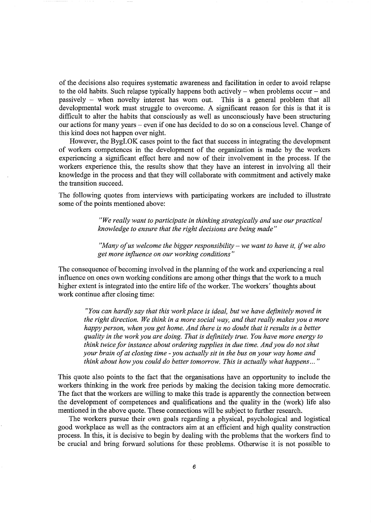of the decisions also requires systematic awareness and facilitation in order to avoid relapse to the old habits. Such relapse typically happens both actively  $-$  when problems occur  $-$  and passively - when novelty interest has worn out. This is a general problem that all developmental work must struggle to overcome. A significant reason for this is that it is difficult to alter the habits that consciously as well as unconsciously have been structuring our actions for many years - even if one has decided to do so on a conscious level. Change of this kind does not happen over night.

However, the BygLOK cases point to the fact that success in integrating the development of workers competences in the development of the organization is made by the workers experiencing a significant effect here and now of their involvement in the process. If the workers experience this, the results show that they have an interest in involving all their knowledge in the process and that they will collaborate with commitment and actively make the transition succeed.

The following quotes from interviews with participating workers are included to illustrate some of the points mentioned above:

> *"We really want to participate in thinking strategically and use our practical knowledge to ensure that the right decisions are being made"*

*"Many of us welcome the bigger responsibility- we want to have it,* if *we also get more influence on our working conditions"* 

The consequence of becoming involved in the planning of the work and experiencing a real influence on ones own working conditions are among other things that the work to a much higher extent is integrated into the entire life of the worker. The workers' thoughts about work continue after closing time:

*"You can hardly say that this work place is ideal, but we have definitely moved in the right direction. We think in a more social way, and that really makes you a more happy person, when you get home. And there is no doubt that it results in a better quality in the work you are doing. That is definitely true. You have more energy to think twice for instance about ordering supplies in due time. And you do not shut your brain of at closing time -you actually sit in the bus on your way home and think about how you could do better tomorrow. This is actually what happens ...* "

This quote also points to the fact that the organisations have an opportunity to include the workers thinking in the work free periods by making the decision taking more democratic. The fact that the workers are willing to make this trade is apparently the connection between the development of competences and qualifications and the quality in the (work) life also mentioned in the above quote. These connections will be subject to further research.

The workers pursue their own goals regarding a physical, psychological and logistical good workplace as well as the contractors aim at an efficient and high quality construction process. In this, it is decisive to begin by dealing with the problems that the workers find to be crucial and bring forward solutions for these problems. Otherwise it is not possible to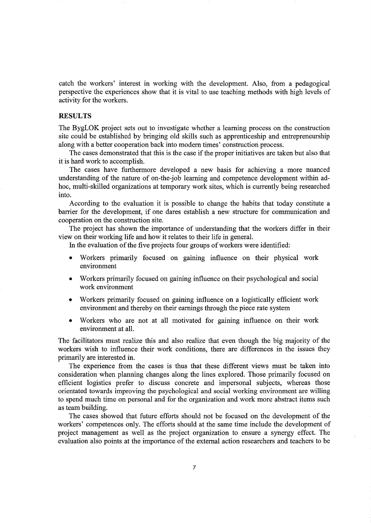catch the workers' interest in working with the development. Also, from a pedagogical perspective the experiences show that it is vital to use teaching methods with high levels of activity for the workers.

## **RESULTS**

The BygLOK project sets out to investigate whether a learning process on the construction site could be established by bringing old skills such as apprenticeship and entrepreneurship along with a better cooperation back into modem times' construction process.

The cases demonstrated that this is the case if the proper initiatives are taken but also that it is hard work to accomplish.

The cases have furthermore developed a new basis for achieving a more nuanced understanding of the nature of on-the-job learning and competence development within adhoc, multi-skilled organizations at temporary work sites, which is currently being researched into.

According to the evaluation it is possible to change the habits that today constitute a barrier for the development, if one dares establish a new structure for communication and cooperation on the construction site.

The project has shown the importance of understanding that the workers differ in their view on their working life and how it relates to their life in general.

In the evaluation of the five projects four groups of workers were identified:

- Workers primarily focused on gaining influence on their physical work environment
- Workers primarily focused on gaining influence on their psychological and social work environment
- Workers primarily focused on gaining influence on a logistically efficient work environment and thereby on their earnings through the piece rate system
- Workers who are not at all motivated for gaining influence on their work environment at all.

The facilitators must realize this and also realize that even though the big majority of the workers wish to influence their work conditions, there are differences in the issues they primarily are interested in.

The experience from the cases is thus that these different views must be taken into consideration when planning changes along the lines explored. Those primarily focused on efficient logistics prefer to discuss concrete and impersonal subjects, whereas those orientated towards improving the psychological and social working environment are willing to spend much time on personal and for the organization and work more abstract items such as team building.

The cases showed that future efforts should not be focused on the development of the workers' competences only. The efforts should at the same time include the development of project management as well as the project organization to ensure a synergy effect. The evaluation also points at the importance of the external action researchers and teachers to be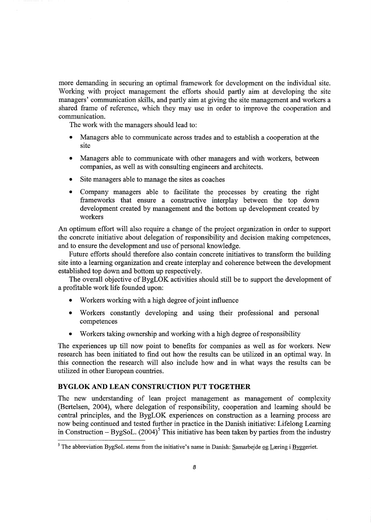more demanding in securing an optimal framework for development on the individual site. Working with project management the efforts should partly aim at developing the site managers' communication skills, and partly aim at giving the site management and workers a shared frame of reference, which they may use in order to improve the cooperation and communication.

The work with the managers should lead to:

- Managers able to communicate across trades and to establish a cooperation at the site
- Managers able to communicate with other managers and with workers, between companies, as well as with consulting engineers and architects.
- Site managers able to manage the sites as coaches
- Company managers able to facilitate the processes by creating the right frameworks that ensure a constructive interplay between the top down development created by management and the bottom up development created by workers

An optimum effort will also require a change of the project organization in order to support the concrete initiative about delegation of responsibility and decision making competences, and to ensure the development and use of personal knowledge.

Future efforts should therefore also contain concrete initiatives to transform the building site into a learning organization and create interplay and coherence between the development established top down and bottom up respectively.

The overall objective of BygLOK activities should still be to support the development of a profitable work life founded upon:

- Workers working with a high degree of joint influence
- Workers constantly developing and using their professional and personal competences
- Workers taking ownership and working with a high degree of responsibility

The experiences up till now point to benefits for companies as well as for workers. New research has been initiated to find out how the results can be utilized in an optimal way. In this connection the research will also include how and in what ways the results can be utilized in other European countries.

# **BYGLOK AND LEAN CONSTRUCTION PUT TOGETHER**

The new understanding of lean project management as management of complexity (Bertelsen, 2004), where delegation of responsibility, cooperation and learning should be central principles, and the BygLOK experiences on construction as a learning process are now being continued and tested further in practice in the Danish initiative: Lifelong Learning in Construction – BygSoL.  $(2004)^5$  This initiative has been taken by parties from the industry

<sup>&</sup>lt;sup>5</sup> The abbreviation BygSoL stems from the initiative's name in Danish: Samarbejde og Læring i Byggeriet.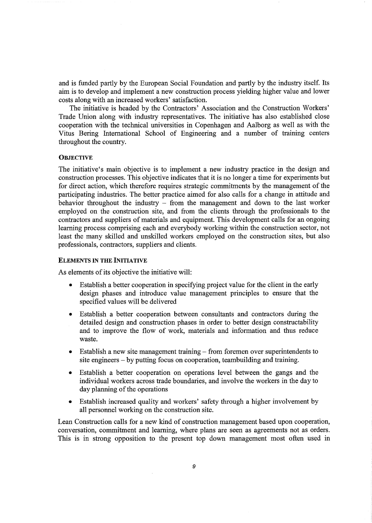and is funded partly by the European Social Foundation and partly by the industry itself. Its aim is to develop and implement a new construction process yielding higher value and lower costs along with an increased workers' satisfaction.

The initiative is headed by the Contractors' Association and the Construction Workers' Trade Union along with industry representatives. The initiative has also established close cooperation with the technical universities in Copenhagen and Aalborg as well as with the Vitus Bering International School of Engineering and a number of training centers throughout the country.

## **OBJECTIVE**

The initiative's main objective is to implement a new industry practice in the design and construction processes. This objective indicates that it is no longer a time for experiments but for direct action, which therefore requires strategic commitments by the management of the participating industries. The better practice aimed for also calls for a change in attitude and behavior throughout the industry  $\overline{\phantom{a}}$  from the management and down to the last worker employed on the construction site, and from the clients through the professionals to the contractors and suppliers of materials and equipment. This development calls for an ongoing learning process comprising each and everybody working within the construction sector, not least the many skilled and unskilled workers employed on the construction sites, but also professionals, contractors, suppliers and clients.

## ELEMENTS IN THE INITIATIVE

As elements of its objective the initiative will:

- Establish a better cooperation in specifying project value for the client in the early design phases and introduce value management principles to ensure that the specified values will be delivered
- Establish a better cooperation between consultants and contractors during the detailed design and construction phases in order to better design constructability and to improve the flow of work, materials and information and thus reduce waste.
- Establish a new site management training from foremen over superintendents to site engineers - by putting focus on cooperation, teambuilding and training.
- Establish a better cooperation on operations level between the gangs and the individual workers across trade boundaries, and involve the workers in the day to day planning of the operations
- Establish increased quality and workers' safety through a higher involvement by all personnel working on the construction site.

Lean Construction calls for a new kind of construction management based upon cooperation, conversation, commitment and learning, where plans are seen as agreements not as orders. This is in strong opposition to the present top down management most often used in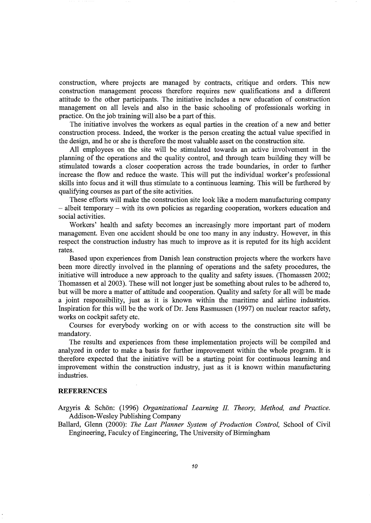construction, where projects are managed by contracts, critique and orders. This new construction management process therefore requires new qualifications and a different attitude to the other participants. The initiative includes a new education of construction management on all levels and also in the basic schooling of professionals working in practice. On the job training will also be a part of this.

The initiative involves the workers as equal parties in the creation of a new and better construction process. Indeed, the worker is the person creating the actual value specified in the design, and he or she is therefore the most valuable asset on the construction site.

All employees on the site will be stimulated towards an active involvement in the planning of the operations and the quality control, and through team building they will be stimulated towards a closer cooperation across the trade boundaries, in order to further increase the flow and reduce the waste. This will put the individual worker's professional skills into focus and it will thus stimulate to a continuous learning. This will be furthered by qualifying courses as part of the site activities.

These efforts will make the construction site look like a modern manufacturing company - albeit temporary - with its own policies as regarding cooperation, workers education and social activities.

Workers' health and safety becomes an increasingly more important part of modern management. Even one accident should be one too many in any industry. However, in this respect the construction industry has much to improve as it is reputed for its high accident rates.

Based upon experiences from Danish lean construction projects where the workers have been more directly involved in the planning of operations and the safety procedures, the initiative will introduce a new approach to the quality and safety issues. (Thomassen 2002; Thomassen et al 2003). These will not longer just be something about rules to be adhered to, but will be more a matter of attitude and cooperation. Quality and safety for all will be made a joint responsibility, just as it is known within the maritime and airline industries. Inspiration for this will be the work of Dr. Jens Rasmussen (1997) on nuclear reactor safety, works on cockpit safety etc.

Courses for everybody working on or with access to the construction site will be mandatory.

The results and experiences from these implementation projects will be compiled and analyzed in order to make a basis for further improvement within the whole program. It is therefore expected that the initiative will be a starting point for continuous learning and improvement within the construction industry, just as it is known within manufacturing industries.

#### **REFERENCES**

Argyris & Schon: (1996) *Organizational Learning II Theory, Method, and Practice.*  Addison-Wesley Publishing Company

Ballard, Glenn (2000): *The Last Planner System of Production Control,* School of Civil Engineering, Faculcy of Engineering, The University of Birmingham